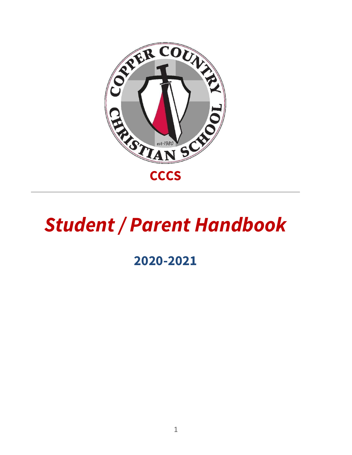

# *Student / Parent Handbook*

# **2020-2021**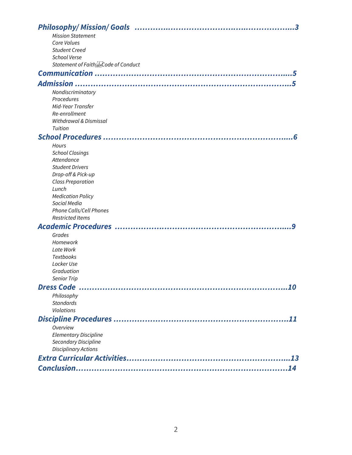| <b>Mission Statement</b>                 |
|------------------------------------------|
| Core Values                              |
| <b>Student Creed</b>                     |
| <b>School Verse</b>                      |
| Statement of Faith EpCode of Conduct     |
|                                          |
|                                          |
| Nondiscriminatory                        |
| Procedures                               |
| Mid-Year Transfer                        |
| Re-enrollment                            |
| Withdrawal & Dismissal                   |
| Tuition                                  |
|                                          |
| Hours                                    |
| <b>School Closings</b>                   |
| Attendance                               |
| <b>Student Drivers</b>                   |
| Drop-off & Pick-up                       |
| <b>Class Preparation</b>                 |
| Lunch                                    |
| <b>Medication Policy</b><br>Social Media |
| Phone Calls/Cell Phones                  |
| <b>Restricted Items</b>                  |
| <b>Academic Procedures </b>              |
|                                          |
| Grades<br>Homework                       |
| Late Work                                |
| Textbooks                                |
| Locker Use                               |
| Graduation                               |
| <b>Senior Trip</b>                       |
| <b>Dress Code</b><br>10                  |
| Philosophy                               |
| <b>Standards</b>                         |
| <b>Violations</b>                        |
|                                          |
| Overview                                 |
| <b>Elementary Discipline</b>             |
| Secondary Discipline                     |
| <b>Disciplinary Actions</b>              |
|                                          |
|                                          |
|                                          |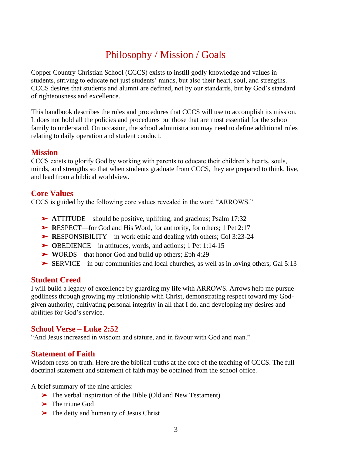# Philosophy / Mission / Goals

Copper Country Christian School (CCCS) exists to instill godly knowledge and values in students, striving to educate not just students' minds, but also their heart, soul, and strengths. CCCS desires that students and alumni are defined, not by our standards, but by God's standard of righteousness and excellence.

This handbook describes the rules and procedures that CCCS will use to accomplish its mission. It does not hold all the policies and procedures but those that are most essential for the school family to understand. On occasion, the school administration may need to define additional rules relating to daily operation and student conduct.

#### **Mission**

CCCS exists to glorify God by working with parents to educate their children's hearts, souls, minds, and strengths so that when students graduate from CCCS, they are prepared to think, live, and lead from a biblical worldview.

## **Core Values**

CCCS is guided by the following core values revealed in the word "ARROWS."

- ➢ **A**TTITUDE—should be positive, uplifting, and gracious; Psalm 17:32
- ➢ **R**ESPECT—for God and His Word, for authority, for others; 1 Pet 2:17
- ➢ **R**ESPONSIBILITY—in work ethic and dealing with others; Col 3:23-24
- ➢ **O**BEDIENCE—in attitudes, words, and actions; 1 Pet 1:14-15
- ➢ **W**ORDS—that honor God and build up others; Eph 4:29
- ➢ **S**ERVICE—in our communities and local churches, as well as in loving others; Gal 5:13

# **Student Creed**

I will build a legacy of excellence by guarding my life with ARROWS. Arrows help me pursue godliness through growing my relationship with Christ, demonstrating respect toward my Godgiven authority, cultivating personal integrity in all that I do, and developing my desires and abilities for God's service.

# **School Verse – Luke 2:52**

"And Jesus increased in wisdom and stature, and in favour with God and man."

#### **Statement of Faith**

Wisdom rests on truth. Here are the biblical truths at the core of the teaching of CCCS. The full doctrinal statement and statement of faith may be obtained from the school office.

A brief summary of the nine articles:

- ➢ The verbal inspiration of the Bible (Old and New Testament)
- ➢ The triune God
- ➢ The deity and humanity of Jesus Christ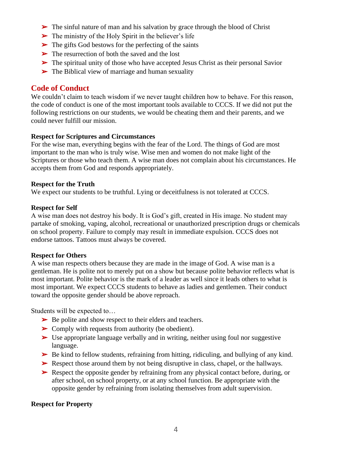- ➢ The sinful nature of man and his salvation by grace through the blood of Christ
- $\triangleright$  The ministry of the Holy Spirit in the believer's life
- $\triangleright$  The gifts God bestows for the perfecting of the saints
- ➢ The resurrection of both the saved and the lost
- ➢ The spiritual unity of those who have accepted Jesus Christ as their personal Savior
- ➢ The Biblical view of marriage and human sexuality

#### **Code of Conduct**

We couldn't claim to teach wisdom if we never taught children how to behave. For this reason, the code of conduct is one of the most important tools available to CCCS. If we did not put the following restrictions on our students, we would be cheating them and their parents, and we could never fulfill our mission.

#### **Respect for Scriptures and Circumstances**

For the wise man, everything begins with the fear of the Lord. The things of God are most important to the man who is truly wise. Wise men and women do not make light of the Scriptures or those who teach them. A wise man does not complain about his circumstances. He accepts them from God and responds appropriately.

#### **Respect for the Truth**

We expect our students to be truthful. Lying or deceitfulness is not tolerated at CCCS.

#### **Respect for Self**

A wise man does not destroy his body. It is God's gift, created in His image. No student may partake of smoking, vaping, alcohol, recreational or unauthorized prescription drugs or chemicals on school property. Failure to comply may result in immediate expulsion. CCCS does not endorse tattoos. Tattoos must always be covered.

#### **Respect for Others**

A wise man respects others because they are made in the image of God. A wise man is a gentleman. He is polite not to merely put on a show but because polite behavior reflects what is most important. Polite behavior is the mark of a leader as well since it leads others to what is most important. We expect CCCS students to behave as ladies and gentlemen. Their conduct toward the opposite gender should be above reproach.

Students will be expected to…

- ➢ Be polite and show respect to their elders and teachers.
- ➢ Comply with requests from authority (be obedient).
- $\triangleright$  Use appropriate language verbally and in writing, neither using foul nor suggestive language.
- $\triangleright$  Be kind to fellow students, refraining from hitting, ridiculing, and bullying of any kind.
- ➢ Respect those around them by not being disruptive in class, chapel, or the hallways.
- ➢ Respect the opposite gender by refraining from any physical contact before, during, or after school, on school property, or at any school function. Be appropriate with the opposite gender by refraining from isolating themselves from adult supervision.

#### **Respect for Property**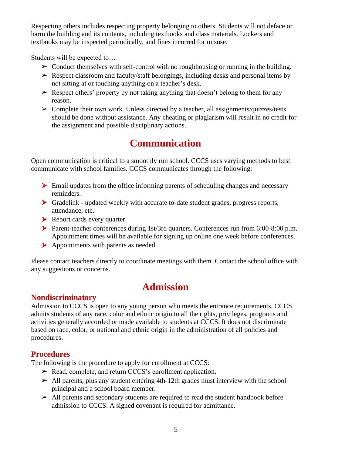Respecting others includes respecting property belonging to others. Students will not deface or harm the building and its contents, including textbooks and class materials. Lockers and textbooks may be inspected periodically, and fines incurred for misuse.

Students will be expected to…

- $\triangleright$  Conduct themselves with self-control with no roughhousing or running in the building.
- $\triangleright$  Respect classroom and faculty/staff belongings, including desks and personal items by not sitting at or touching anything on a teacher's desk.
- $\triangleright$  Respect others' property by not taking anything that doesn't belong to them for any reason.
- $\triangleright$  Complete their own work. Unless directed by a teacher, all assignments/quizzes/tests should be done without assistance. Any cheating or plagiarism will result in no credit for the assignment and possible disciplinary actions.

# **Communication**

Open communication is critical to a smoothly run school. CCCS uses varying methods to best communicate with school families. CCCS communicates through the following:

- $\triangleright$  Email updates from the office informing parents of scheduling changes and necessary reminders.
- $\triangleright$  Gradelink updated weekly with accurate to-date student grades, progress reports, attendance, etc.
- rial Report cards every quarter.
- ▶ Parent-teacher conferences during 1st/3rd quarters. Conferences run from 6:00-8:00 p.m. Appointment times will be available for signing up online one week before conferences.
- $\triangleright$  Appointments with parents as needed.

Please contact teachers directly to coordinate meetings with them. Contact the school office with any suggestions or concerns.

#### **Nondiscriminatory**

# **Admission**

Admission to CCCS is open to any young person who meets the entrance requirements. CCCS admits students of any race, color and ethnic origin to all the rights, privileges, programs and activities generally accorded or made available to students at CCCS. It does not discriminate based on race, color, or national and ethnic origin in the administration of all policies and procedures.

#### **Procedures**

The following is the procedure to apply for enrollment at CCCS:

- $\triangleright$  Read, complete, and return CCCS's enrollment application.
- $\triangleright$  All parents, plus any student entering 4th-12th grades must interview with the school principal and a school board member.
- $\triangleright$  All parents and secondary students are required to read the student handbook before admission to CCCS. A signed covenant is required for admittance.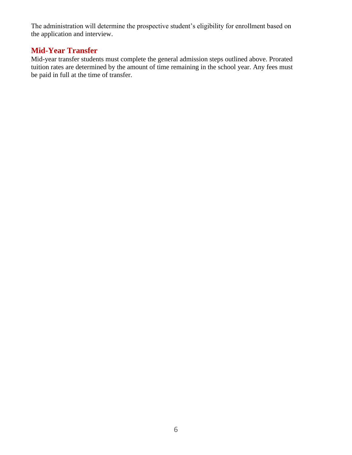The administration will determine the prospective student's eligibility for enrollment based on the application and interview.

## **Mid-Year Transfer**

Mid-year transfer students must complete the general admission steps outlined above. Prorated tuition rates are determined by the amount of time remaining in the school year. Any fees must be paid in full at the time of transfer.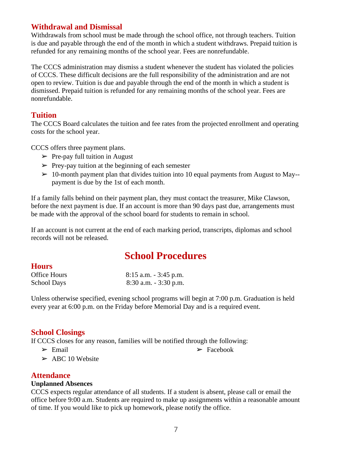## **Withdrawal and Dismissal**

Withdrawals from school must be made through the school office, not through teachers. Tuition is due and payable through the end of the month in which a student withdraws. Prepaid tuition is refunded for any remaining months of the school year. Fees are nonrefundable.

The CCCS administration may dismiss a student whenever the student has violated the policies of CCCS. These difficult decisions are the full responsibility of the administration and are not open to review. Tuition is due and payable through the end of the month in which a student is dismissed. Prepaid tuition is refunded for any remaining months of the school year. Fees are nonrefundable.

#### **Tuition**

The CCCS Board calculates the tuition and fee rates from the projected enrollment and operating costs for the school year.

CCCS offers three payment plans.

- $\triangleright$  Pre-pay full tuition in August
- $\triangleright$  Prey-pay tuition at the beginning of each semester
- $\geq 10$ -month payment plan that divides tuition into 10 equal payments from August to May-payment is due by the 1st of each month.

If a family falls behind on their payment plan, they must contact the treasurer, Mike Clawson, before the next payment is due. If an account is more than 90 days past due, arrangements must be made with the approval of the school board for students to remain in school.

If an account is not current at the end of each marking period, transcripts, diplomas and school records will not be released.

# **School Procedures**

#### **Hours**

| Office Hours       | $8:15$ a.m. $-3:45$ p.m. |
|--------------------|--------------------------|
| <b>School Days</b> | $8:30$ a.m. $-3:30$ p.m. |

Unless otherwise specified, evening school programs will begin at 7:00 p.m. Graduation is held every year at 6:00 p.m. on the Friday before Memorial Day and is a required event.

#### **School Closings**

If CCCS closes for any reason, families will be notified through the following:

- $\triangleright$  Email
- $\geq$  ABC 10 Website

#### **Attendance**

#### **Unplanned Absences**

CCCS expects regular attendance of all students. If a student is absent, please call or email the office before 9:00 a.m. Students are required to make up assignments within a reasonable amount of time. If you would like to pick up homework, please notify the office.

 $\triangleright$  Facebook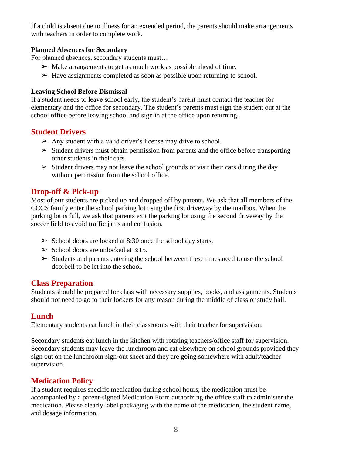If a child is absent due to illness for an extended period, the parents should make arrangements with teachers in order to complete work.

#### **Planned Absences for Secondary**

For planned absences, secondary students must…

- $\triangleright$  Make arrangements to get as much work as possible ahead of time.
- $\triangleright$  Have assignments completed as soon as possible upon returning to school.

#### **Leaving School Before Dismissal**

If a student needs to leave school early, the student's parent must contact the teacher for elementary and the office for secondary. The student's parents must sign the student out at the school office before leaving school and sign in at the office upon returning.

#### **Student Drivers**

- $\triangleright$  Any student with a valid driver's license may drive to school.
- $\triangleright$  Student drivers must obtain permission from parents and the office before transporting other students in their cars.
- $\triangleright$  Student drivers may not leave the school grounds or visit their cars during the day without permission from the school office.

## **Drop-off & Pick-up**

Most of our students are picked up and dropped off by parents. We ask that all members of the CCCS family enter the school parking lot using the first driveway by the mailbox. When the parking lot is full, we ask that parents exit the parking lot using the second driveway by the soccer field to avoid traffic jams and confusion.

- $\triangleright$  School doors are locked at 8:30 once the school day starts.
- $\geq$  School doors are unlocked at 3:15.
- $\triangleright$  Students and parents entering the school between these times need to use the school doorbell to be let into the school.

#### **Class Preparation**

Students should be prepared for class with necessary supplies, books, and assignments. Students should not need to go to their lockers for any reason during the middle of class or study hall.

#### **Lunch**

Elementary students eat lunch in their classrooms with their teacher for supervision.

Secondary students eat lunch in the kitchen with rotating teachers/office staff for supervision. Secondary students may leave the lunchroom and eat elsewhere on school grounds provided they sign out on the lunchroom sign-out sheet and they are going somewhere with adult/teacher supervision.

#### **Medication Policy**

If a student requires specific medication during school hours, the medication must be accompanied by a parent-signed Medication Form authorizing the office staff to administer the medication. Please clearly label packaging with the name of the medication, the student name, and dosage information.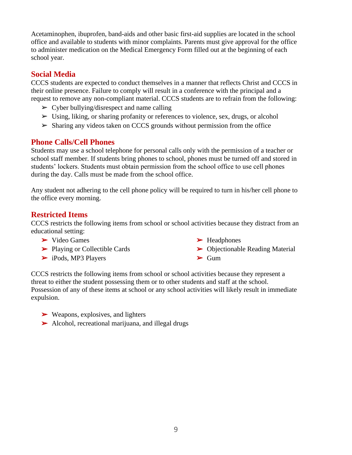Acetaminophen, ibuprofen, band-aids and other basic first-aid supplies are located in the school office and available to students with minor complaints. Parents must give approval for the office to administer medication on the Medical Emergency Form filled out at the beginning of each school year.

## **Social Media**

CCCS students are expected to conduct themselves in a manner that reflects Christ and CCCS in their online presence. Failure to comply will result in a conference with the principal and a request to remove any non-compliant material. CCCS students are to refrain from the following:

- $\triangleright$  Cyber bullying/disrespect and name calling
- $\triangleright$  Using, liking, or sharing profanity or references to violence, sex, drugs, or alcohol
- $\triangleright$  Sharing any videos taken on CCCS grounds without permission from the office

#### **Phone Calls/Cell Phones**

Students may use a school telephone for personal calls only with the permission of a teacher or school staff member. If students bring phones to school, phones must be turned off and stored in students' lockers. Students must obtain permission from the school office to use cell phones during the day. Calls must be made from the school office.

Any student not adhering to the cell phone policy will be required to turn in his/her cell phone to the office every morning.

## **Restricted Items**

CCCS restricts the following items from school or school activities because they distract from an educational setting:

- ➢ Video Games
- ➢ Playing or Collectible Cards
- ➢ iPods, MP3 Players
- ➢ Headphones
- ➢ Objectionable Reading Material  $\blacktriangleright$  Gum

CCCS restricts the following items from school or school activities because they represent a threat to either the student possessing them or to other students and staff at the school. Possession of any of these items at school or any school activities will likely result in immediate expulsion.

- $\triangleright$  Weapons, explosives, and lighters
- ➢ Alcohol, recreational marijuana, and illegal drugs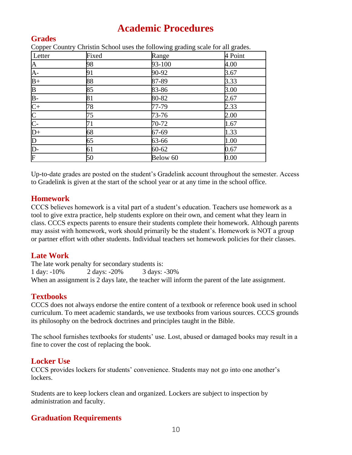# **Academic Procedures**

# **Grades**

Copper Country Christin School uses the following grading scale for all grades.

| Letter                                        | Fixed | $\sim$ $\sim$<br>Range | $\tilde{\phantom{a}}$<br>4 Point |
|-----------------------------------------------|-------|------------------------|----------------------------------|
| $\mathbf{A}$                                  | 98    | 93-100                 | 4.00                             |
| $A -$                                         | 91    | 90-92                  | 3.67                             |
| $B+$                                          | 88    | 87-89                  | 3.33                             |
|                                               | 85    | 83-86                  | 3.00                             |
| $\frac{\text{B}}{\text{B}-\text{C}+\text{C}}$ | 81    | 80-82                  | 2.67                             |
|                                               | 78    | 77-79                  | 2.33                             |
|                                               | 75    | 73-76                  | 2.00                             |
|                                               | 71    | 70-72                  | 1.67                             |
| $\overline{D+}$                               | 68    | 67-69                  | 1.33                             |
|                                               | 65    | 63-66                  | 1.00                             |
| $\frac{\overline{D}}{\overline{D}}$           | 61    | $60 - 62$              | 0.67                             |
| $\overline{\mathrm{F}}$                       | 50    | Below 60               | 0.00                             |

Up-to-date grades are posted on the student's Gradelink account throughout the semester. Access to Gradelink is given at the start of the school year or at any time in the school office.

## **Homework**

CCCS believes homework is a vital part of a student's education. Teachers use homework as a tool to give extra practice, help students explore on their own, and cement what they learn in class. CCCS expects parents to ensure their students complete their homework. Although parents may assist with homework, work should primarily be the student's. Homework is NOT a group or partner effort with other students. Individual teachers set homework policies for their classes.

# **Late Work**

The late work penalty for secondary students is: 1 day: -10% 2 days: -20% 3 days: -30% When an assignment is 2 days late, the teacher will inform the parent of the late assignment.

# **Textbooks**

CCCS does not always endorse the entire content of a textbook or reference book used in school curriculum. To meet academic standards, we use textbooks from various sources. CCCS grounds its philosophy on the bedrock doctrines and principles taught in the Bible.

The school furnishes textbooks for students' use. Lost, abused or damaged books may result in a fine to cover the cost of replacing the book.

# **Locker Use**

CCCS provides lockers for students' convenience. Students may not go into one another's lockers.

Students are to keep lockers clean and organized. Lockers are subject to inspection by administration and faculty.

# **Graduation Requirements**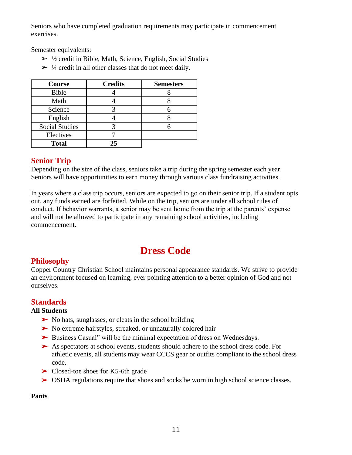Seniors who have completed graduation requirements may participate in commencement exercises.

Semester equivalents:

- $\triangleright$  ½ credit in Bible, Math, Science, English, Social Studies
- $>$  ¼ credit in all other classes that do not meet daily.

| Course                | <b>Credits</b> | <b>Semesters</b> |
|-----------------------|----------------|------------------|
| Bible                 |                |                  |
| Math                  |                |                  |
| Science               |                |                  |
| English               |                |                  |
| <b>Social Studies</b> |                |                  |
| Electives             |                |                  |
| <b>Total</b>          | 25             |                  |

# **Senior Trip**

Depending on the size of the class, seniors take a trip during the spring semester each year. Seniors will have opportunities to earn money through various class fundraising activities.

In years where a class trip occurs, seniors are expected to go on their senior trip. If a student opts out, any funds earned are forfeited. While on the trip, seniors are under all school rules of conduct. If behavior warrants, a senior may be sent home from the trip at the parents' expense and will not be allowed to participate in any remaining school activities, including commencement.

# **Dress Code**

# **Philosophy**

Copper Country Christian School maintains personal appearance standards. We strive to provide an environment focused on learning, ever pointing attention to a better opinion of God and not ourselves.

# **Standards**

#### **All Students**

- $\triangleright$  No hats, sunglasses, or cleats in the school building
- ➢ No extreme hairstyles, streaked, or unnaturally colored hair
- ➢ Business Casual" will be the minimal expectation of dress on Wednesdays.
- ➢ As spectators at school events, students should adhere to the school dress code. For athletic events, all students may wear CCCS gear or outfits compliant to the school dress code.
- ➢ Closed-toe shoes for K5-6th grade
- ➢ OSHA regulations require that shoes and socks be worn in high school science classes.

# **Pants**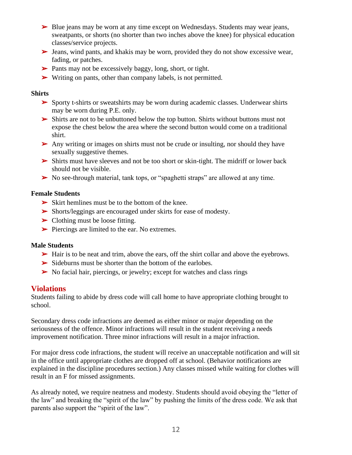- $\triangleright$  Blue jeans may be worn at any time except on Wednesdays. Students may wear jeans, sweatpants, or shorts (no shorter than two inches above the knee) for physical education classes/service projects.
- ➢ Jeans, wind pants, and khakis may be worn, provided they do not show excessive wear, fading, or patches.
- ➢ Pants may not be excessively baggy, long, short, or tight.
- ➢ Writing on pants, other than company labels, is not permitted.

#### **Shirts**

- $\triangleright$  Sporty t-shirts or sweatshirts may be worn during academic classes. Underwear shirts may be worn during P.E. only.
- $\triangleright$  Shirts are not to be unbuttoned below the top button. Shirts without buttons must not expose the chest below the area where the second button would come on a traditional shirt.
- ➢ Any writing or images on shirts must not be crude or insulting, nor should they have sexually suggestive themes.
- ➢ Shirts must have sleeves and not be too short or skin-tight. The midriff or lower back should not be visible.
- ➢ No see-through material, tank tops, or "spaghetti straps" are allowed at any time.

#### **Female Students**

- ➢ Skirt hemlines must be to the bottom of the knee.
- ➢ Shorts/leggings are encouraged under skirts for ease of modesty.
- $\blacktriangleright$  Clothing must be loose fitting.
- ➢ Piercings are limited to the ear. No extremes.

#### **Male Students**

- ➢ Hair is to be neat and trim, above the ears, off the shirt collar and above the eyebrows.
- ➢ Sideburns must be shorter than the bottom of the earlobes.
- ➢ No facial hair, piercings, or jewelry; except for watches and class rings

#### **Violations**

Students failing to abide by dress code will call home to have appropriate clothing brought to school.

Secondary dress code infractions are deemed as either minor or major depending on the seriousness of the offence. Minor infractions will result in the student receiving a needs improvement notification. Three minor infractions will result in a major infraction.

For major dress code infractions, the student will receive an unacceptable notification and will sit in the office until appropriate clothes are dropped off at school. (Behavior notifications are explained in the discipline procedures section.) Any classes missed while waiting for clothes will result in an F for missed assignments.

As already noted, we require neatness and modesty. Students should avoid obeying the "letter of the law" and breaking the "spirit of the law" by pushing the limits of the dress code. We ask that parents also support the "spirit of the law".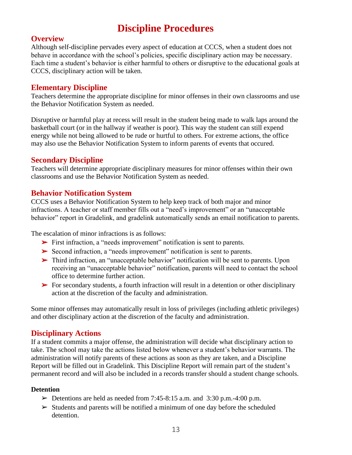# **Discipline Procedures**

#### **Overview**

Although self-discipline pervades every aspect of education at CCCS, when a student does not behave in accordance with the school's policies, specific disciplinary action may be necessary. Each time a student's behavior is either harmful to others or disruptive to the educational goals at CCCS, disciplinary action will be taken.

#### **Elementary Discipline**

Teachers determine the appropriate discipline for minor offenses in their own classrooms and use the Behavior Notification System as needed.

Disruptive or harmful play at recess will result in the student being made to walk laps around the basketball court (or in the hallway if weather is poor). This way the student can still expend energy while not being allowed to be rude or hurtful to others. For extreme actions, the office may also use the Behavior Notification System to inform parents of events that occured.

#### **Secondary Discipline**

Teachers will determine appropriate disciplinary measures for minor offenses within their own classrooms and use the Behavior Notification System as needed.

## **Behavior Notification System**

CCCS uses a Behavior Notification System to help keep track of both major and minor infractions. A teacher or staff member fills out a "need's improvement" or an "unacceptable behavior" report in Gradelink, and gradelink automatically sends an email notification to parents.

The escalation of minor infractions is as follows:

- ➢ First infraction, a "needs improvement" notification is sent to parents.
- ➢ Second infraction, a "needs improvement" notification is sent to parents.
- ➢ Third infraction, an "unacceptable behavior" notification will be sent to parents. Upon receiving an "unacceptable behavior" notification, parents will need to contact the school office to determine further action.
- ➢ For secondary students, a fourth infraction will result in a detention or other disciplinary action at the discretion of the faculty and administration.

Some minor offenses may automatically result in loss of privileges (including athletic privileges) and other disciplinary action at the discretion of the faculty and administration.

#### **Disciplinary Actions**

If a student commits a major offense, the administration will decide what disciplinary action to take. The school may take the actions listed below whenever a student's behavior warrants. The administration will notify parents of these actions as soon as they are taken, and a Discipline Report will be filled out in Gradelink. This Discipline Report will remain part of the student's permanent record and will also be included in a records transfer should a student change schools.

#### **Detention**

- $\triangleright$  Detentions are held as needed from 7:45-8:15 a.m. and 3:30 p.m. -4:00 p.m.
- $\triangleright$  Students and parents will be notified a minimum of one day before the scheduled detention.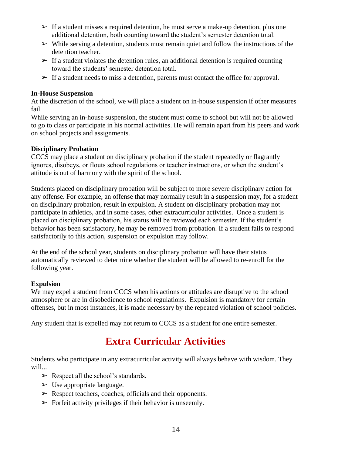- $\triangleright$  If a student misses a required detention, he must serve a make-up detention, plus one additional detention, both counting toward the student's semester detention total.
- $\triangleright$  While serving a detention, students must remain quiet and follow the instructions of the detention teacher.
- $\triangleright$  If a student violates the detention rules, an additional detention is required counting toward the students' semester detention total.
- $\triangleright$  If a student needs to miss a detention, parents must contact the office for approval.

#### **In-House Suspension**

At the discretion of the school, we will place a student on in-house suspension if other measures fail.

While serving an in-house suspension, the student must come to school but will not be allowed to go to class or participate in his normal activities. He will remain apart from his peers and work on school projects and assignments.

#### **Disciplinary Probation**

CCCS may place a student on disciplinary probation if the student repeatedly or flagrantly ignores, disobeys, or flouts school regulations or teacher instructions, or when the student's attitude is out of harmony with the spirit of the school.

Students placed on disciplinary probation will be subject to more severe disciplinary action for any offense. For example, an offense that may normally result in a suspension may, for a student on disciplinary probation, result in expulsion. A student on disciplinary probation may not participate in athletics, and in some cases, other extracurricular activities. Once a student is placed on disciplinary probation, his status will be reviewed each semester. If the student's behavior has been satisfactory, he may be removed from probation. If a student fails to respond satisfactorily to this action, suspension or expulsion may follow.

At the end of the school year, students on disciplinary probation will have their status automatically reviewed to determine whether the student will be allowed to re-enroll for the following year.

#### **Expulsion**

We may expel a student from CCCS when his actions or attitudes are disruptive to the school atmosphere or are in disobedience to school regulations. Expulsion is mandatory for certain offenses, but in most instances, it is made necessary by the repeated violation of school policies.

Any student that is expelled may not return to CCCS as a student for one entire semester.

# **Extra Curricular Activities**

Students who participate in any extracurricular activity will always behave with wisdom. They will...

- $\triangleright$  Respect all the school's standards.
- $\triangleright$  Use appropriate language.
- $\triangleright$  Respect teachers, coaches, officials and their opponents.
- $\triangleright$  Forfeit activity privileges if their behavior is unseemly.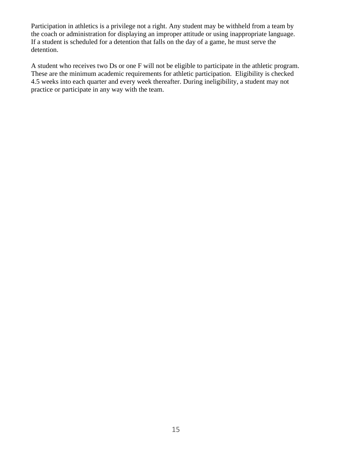Participation in athletics is a privilege not a right. Any student may be withheld from a team by the coach or administration for displaying an improper attitude or using inappropriate language. If a student is scheduled for a detention that falls on the day of a game, he must serve the detention.

A student who receives two Ds or one F will not be eligible to participate in the athletic program. These are the minimum academic requirements for athletic participation. Eligibility is checked 4.5 weeks into each quarter and every week thereafter. During ineligibility, a student may not practice or participate in any way with the team.